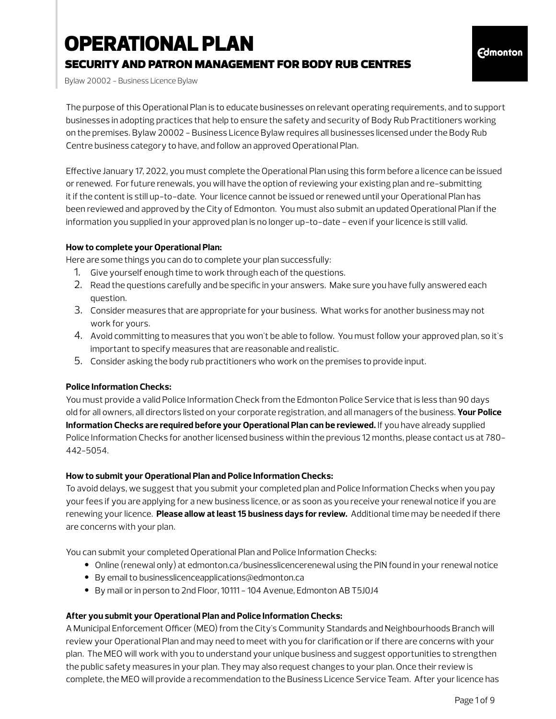# OPERATIONAL PLAN

## security and patron management for body rub centres

Bylaw 20002 - Business Licence Bylaw

The purpose of this Operational Plan is to educate businesses on relevant operating requirements, and to support businesses in adopting practices that help to ensure the safety and security of Body Rub Practitioners working on the premises. Bylaw 20002 - Business Licence Bylaw requires all businesses licensed under the Body Rub Centre business category to have, and follow an approved Operational Plan.

Effective January 17, 2022, you must complete the Operational Plan using this form before a licence can be issued or renewed. For future renewals, you will have the option of reviewing your existing plan and re-submitting it if the content is still up-to-date. Your licence cannot be issued or renewed until your Operational Plan has been reviewed and approved by the City of Edmonton. You must also submit an updated Operational Plan if the information you supplied in your approved plan is no longer up-to-date - even if your licence is still valid.

### **How to complete your Operational Plan:**

Here are some things you can do to complete your plan successfully:

- 1. Give yourself enough time to work through each of the questions.
- 2. Read the questions carefully and be specific in your answers. Make sure you have fully answered each question.
- 3. Consider measures that are appropriate for your business. What works for another business may not work for yours.
- 4. Avoid committing to measures that you won't be able to follow. You must follow your approved plan, so it's important to specify measures that are reasonable and realistic.
- 5. Consider asking the body rub practitioners who work on the premises to provide input.

#### **Police Information Checks:**

You must provide a valid Police Information Check from the Edmonton Police Service that is less than 90 days old for all owners, all directors listed on your corporate registration, and all managers of the business. **Your Police Information Checks are required before your Operational Plan can be reviewed.** If you have already supplied Police Information Checks for another licensed business within the previous 12 months, please contact us at 780- 442-5054.

#### **How to submit your Operational Plan and Police Information Checks:**

To avoid delays, we suggest that you submit your completed plan and Police Information Checks when you pay your fees if you are applying for a new business licence, or as soon as you receive your renewal notice if you are renewing your licence. **Please allow at least 15 business days for review.** Additional time may be needed if there are concerns with your plan.

You can submit your completed Operational Plan and Police Information Checks:

- Online (renewal only) at edmonton.ca/businesslicencerenewal using the PIN found in your renewal notice
- By email to businesslicenceapplications@edmonton.ca
- By mail or in person to 2nd Floor, 10111 104 Avenue, Edmonton AB T5J0J4

#### **After you submit your Operational Plan and Police Information Checks:**

A Municipal Enforcement Officer (MEO) from the City's Community Standards and Neighbourhoods Branch will review your Operational Plan and may need to meet with you for clarification or if there are concerns with your plan. The MEO will work with you to understand your unique business and suggest opportunities to strengthen the public safety measures in your plan. They may also request changes to your plan. Once their review is complete, the MEO will provide a recommendation to the Business Licence Service Team. After your licence has

**Edmonton**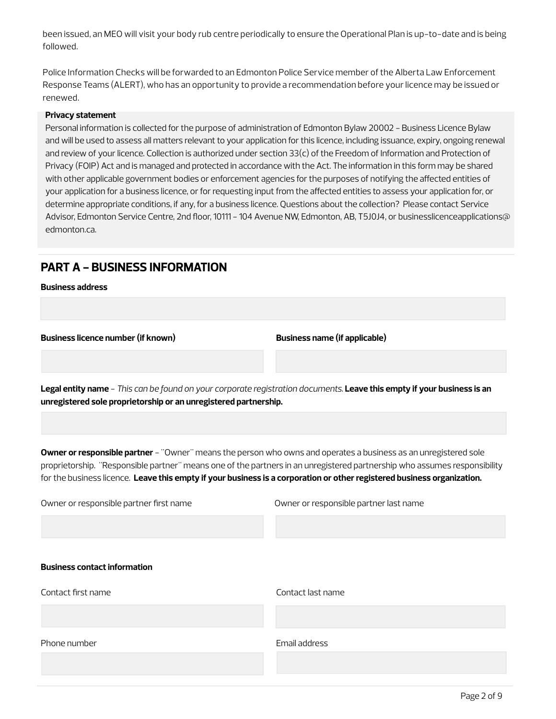been issued, an MEO will visit your body rub centre periodically to ensure the Operational Plan is up-to-date and is being followed.

Police Information Checks will be forwarded to an Edmonton Police Service member of the Alberta Law Enforcement Response Teams (ALERT), who has an opportunity to provide a recommendation before your licence may be issued or renewed.

#### **Privacy statement**

Personal information is collected for the purpose of administration of Edmonton Bylaw 20002 - Business Licence Bylaw and will be used to assess all matters relevant to your application for this licence, including issuance, expiry, ongoing renewal and review of your licence. Collection is authorized under section 33(c) of the Freedom of Information and Protection of Privacy (FOIP) Act and is managed and protected in accordance with the Act. The information in this form may be shared with other applicable government bodies or enforcement agencies for the purposes of notifying the affected entities of your application for a business licence, or for requesting input from the affected entities to assess your application for, or determine appropriate conditions, if any, for a business licence. Questions about the collection? Please contact Service Advisor, Edmonton Service Centre, 2nd floor, 10111 - 104 Avenue NW, Edmonton, AB, T5J0J4, or businesslicenceapplications@ edmonton.ca.

## **PART A - BUSINESS INFORMATION**

#### **Business address**

**Business licence number (if known) Business name (if applicable)**

**Legal entity name** - *This can be found on your corporate registration documents.* **Leave this empty if your business is an unregistered sole proprietorship or an unregistered partnership.**

**Owner or responsible partner** - "Owner" means the person who owns and operates a business as an unregistered sole proprietorship. "Responsible partner" means one of the partners in an unregistered partnership who assumes responsibility for the business licence. **Leave this empty if your business is a corporation or other registered business organization.**

| Owner or responsible partner first name | Owner or responsible partner last name |
|-----------------------------------------|----------------------------------------|
| <b>Business contact information</b>     |                                        |
| Contact first name                      | Contact last name                      |
|                                         |                                        |
| Phone number                            | Email address                          |
|                                         |                                        |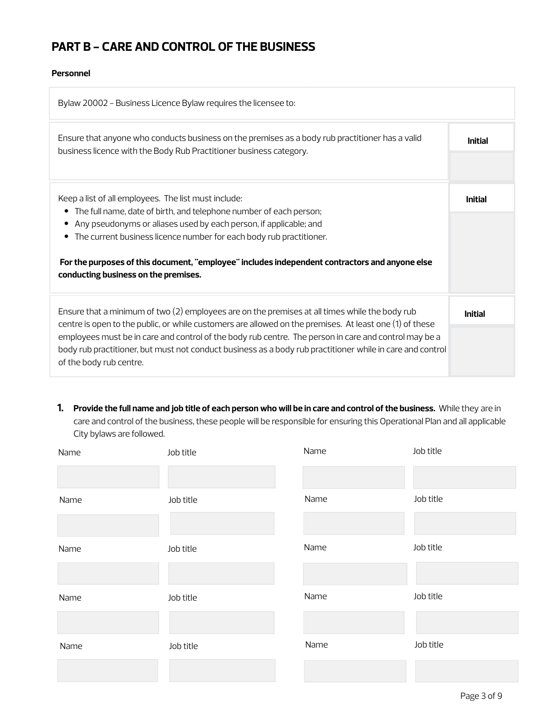# **PART B - CARE AND CONTROL OF THE BUSINESS**

#### **Personnel**

| Bylaw 20002 - Business Licence Bylaw requires the licensee to:                                                                                                                                                                                |                |
|-----------------------------------------------------------------------------------------------------------------------------------------------------------------------------------------------------------------------------------------------|----------------|
| Ensure that anyone who conducts business on the premises as a body rub practitioner has a valid<br>business licence with the Body Rub Practitioner business category.                                                                         |                |
|                                                                                                                                                                                                                                               |                |
| Keep a list of all employees. The list must include:<br>The full name, date of birth, and telephone number of each person;                                                                                                                    | <b>Initial</b> |
| Any pseudonyms or aliases used by each person, if applicable; and                                                                                                                                                                             |                |
| The current business licence number for each body rub practitioner.                                                                                                                                                                           |                |
| For the purposes of this document, "employee" includes independent contractors and anyone else<br>conducting business on the premises.                                                                                                        |                |
| Ensure that a minimum of two (2) employees are on the premises at all times while the body rub<br>centre is open to the public, or while customers are allowed on the premises. At least one (1) of these                                     | <b>Initial</b> |
| employees must be in care and control of the body rub centre. The person in care and control may be a<br>body rub practitioner, but must not conduct business as a body rub practitioner while in care and control<br>of the body rub centre. |                |

**1. Provide the full name and job title of each person who will be in care and control of the business.** While they are in care and control of the business, these people will be responsible for ensuring this Operational Plan and all applicable City bylaws are followed.

| Name | Job title | Name | Job title |
|------|-----------|------|-----------|
| Name | Job title | Name | Job title |
| Name | Job title | Name | Job title |
| Name | Job title | Name | Job title |
| Name | Job title | Name | Job title |
|      |           |      |           |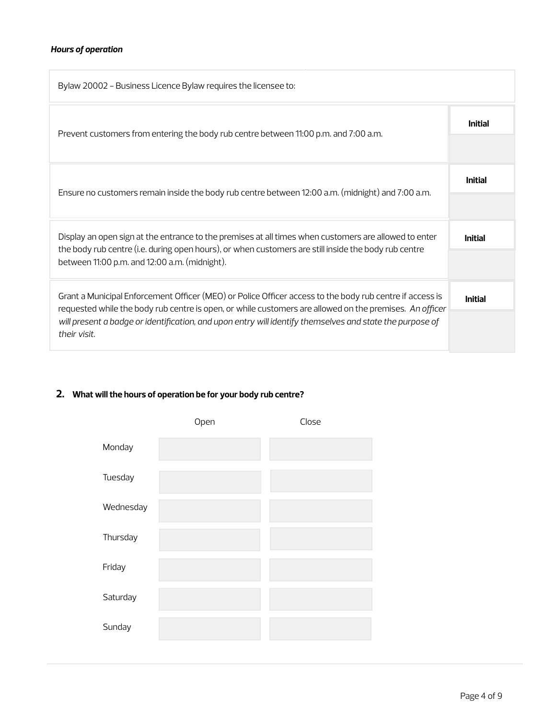## *Hours of operation*

| Bylaw 20002 - Business Licence Bylaw requires the licensee to:                                                                                                                                                                                                 |  |
|----------------------------------------------------------------------------------------------------------------------------------------------------------------------------------------------------------------------------------------------------------------|--|
| Prevent customers from entering the body rub centre between 11:00 p.m. and 7:00 a.m.                                                                                                                                                                           |  |
|                                                                                                                                                                                                                                                                |  |
| Ensure no customers remain inside the body rub centre between 12:00 a.m. (midnight) and 7:00 a.m.                                                                                                                                                              |  |
| Display an open sign at the entrance to the premises at all times when customers are allowed to enter<br>the body rub centre (i.e. during open hours), or when customers are still inside the body rub centre<br>between 11:00 p.m. and 12:00 a.m. (midnight). |  |
|                                                                                                                                                                                                                                                                |  |

## **2. What will the hours of operation be for your body rub centre?**

|           | Open | Close |
|-----------|------|-------|
| Monday    |      |       |
| Tuesday   |      |       |
| Wednesday |      |       |
| Thursday  |      |       |
| Friday    |      |       |
| Saturday  |      |       |
| Sunday    |      |       |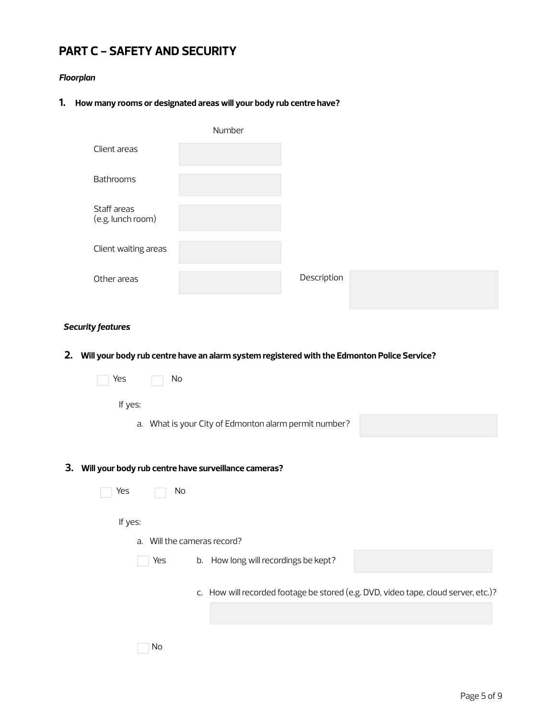# **PART C - SAFETY AND SECURITY**

#### *Floorplan*

## **1. How many rooms or designated areas will your body rub centre have?**

|                                  | Number |             |  |
|----------------------------------|--------|-------------|--|
| Client areas                     |        |             |  |
| Bathrooms                        |        |             |  |
| Staff areas<br>(e.g. lunch room) |        |             |  |
| Client waiting areas             |        |             |  |
| Other areas                      |        | Description |  |

#### *Security features*

## **2. Will your body rub centre have an alarm system registered with the Edmonton Police Service?**

|    | Yes     | No                       |                                                                                    |  |
|----|---------|--------------------------|------------------------------------------------------------------------------------|--|
|    | If yes: |                          |                                                                                    |  |
|    |         |                          | a. What is your City of Edmonton alarm permit number?                              |  |
|    |         |                          |                                                                                    |  |
| 3. |         |                          | Will your body rub centre have surveillance cameras?                               |  |
|    | Yes     | No                       |                                                                                    |  |
|    | If yes: |                          |                                                                                    |  |
|    | $a$ .   | Will the cameras record? |                                                                                    |  |
|    |         | Yes                      | b. How long will recordings be kept?                                               |  |
|    |         |                          | c. How will recorded footage be stored (e.g. DVD, video tape, cloud server, etc.)? |  |
|    |         |                          |                                                                                    |  |
|    |         | No                       |                                                                                    |  |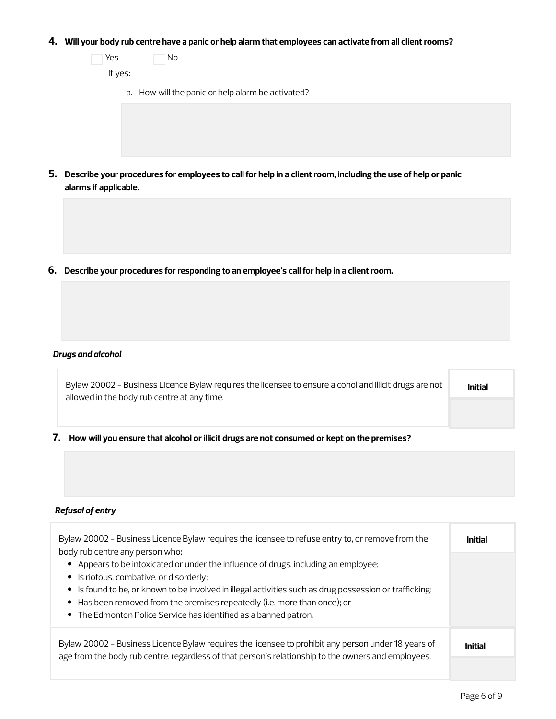#### **4. Will your body rub centre have a panic or help alarm that employees can activate from all client rooms?**

| Yes<br>If yes: | No                                                |  |
|----------------|---------------------------------------------------|--|
|                | a. How will the panic or help alarm be activated? |  |
|                |                                                   |  |
|                |                                                   |  |
|                |                                                   |  |

**5. Describe your procedures for employees to call for help in a client room, including the use of help or panic alarms if applicable.** 

**6. Describe your procedures for responding to an employee's call for help in a client room.**

#### *Drugs and alcohol*

| How will you ensure that alcohol or illicit drugs are not consumed or kept on the premises?            |                |
|--------------------------------------------------------------------------------------------------------|----------------|
| allowed in the body rub centre at any time.                                                            |                |
| Bylaw 20002 - Business Licence Bylaw requires the licensee to ensure alcohol and illicit drugs are not | <b>Initial</b> |

#### *Refusal of entry*

| Bylaw 20002 - Business Licence Bylaw requires the licensee to refuse entry to, or remove from the<br>body rub centre any person who:                                                                                                                                                                                                                                                       | Initial |
|--------------------------------------------------------------------------------------------------------------------------------------------------------------------------------------------------------------------------------------------------------------------------------------------------------------------------------------------------------------------------------------------|---------|
| • Appears to be intoxicated or under the influence of drugs, including an employee;<br>• Is riotous, combative, or disorderly;<br>• Is found to be, or known to be involved in illegal activities such as drug possession or trafficking;<br>• Has been removed from the premises repeatedly (i.e. more than once); or<br>• The Edmonton Police Service has identified as a banned patron. |         |
| Bylaw 20002 - Business Licence Bylaw requires the licensee to prohibit any person under 18 years of<br>age from the body rub centre, regardless of that person's relationship to the owners and employees.                                                                                                                                                                                 | Initial |
|                                                                                                                                                                                                                                                                                                                                                                                            |         |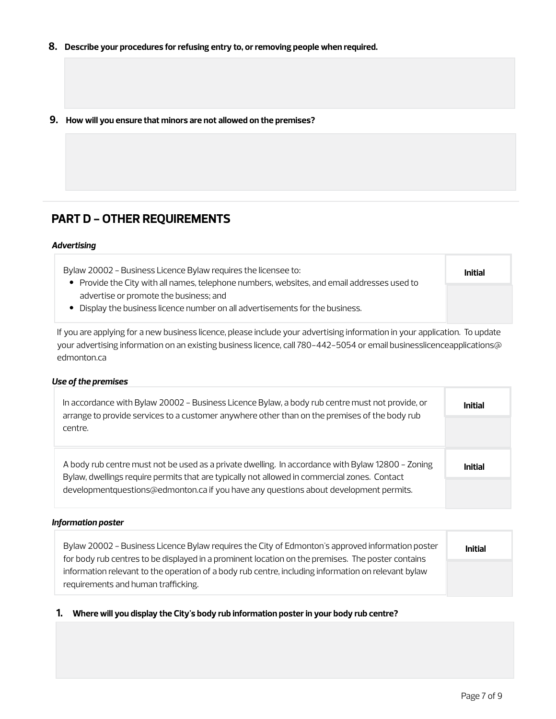- **8. Describe your procedures for refusing entry to, or removing people when required.**
- **9. How will you ensure that minors are not allowed on the premises?**

# **PART D - OTHER REQUIREMENTS**

#### *Advertising*

Bylaw 20002 - Business Licence Bylaw requires the licensee to:

**Initial**

- Provide the City with all names, telephone numbers, websites, and email addresses used to advertise or promote the business; and
- Display the business licence number on all advertisements for the business.

If you are applying for a new business licence, please include your advertising information in your application. To update your advertising information on an existing business licence, call 780-442-5054 or email businesslicenceapplications@ edmonton.ca

#### *Use of the premises*

| In accordance with Bylaw 20002 - Business Licence Bylaw, a body rub centre must not provide, or<br>arrange to provide services to a customer anywhere other than on the premises of the body rub  | <b>Initial</b> |
|---------------------------------------------------------------------------------------------------------------------------------------------------------------------------------------------------|----------------|
| centre.                                                                                                                                                                                           |                |
| A body rub centre must not be used as a private dwelling. In accordance with Bylaw 12800 - Zoning<br>Bylaw, dwellings require permits that are typically not allowed in commercial zones. Contact | <b>Initial</b> |
| developmentquestions@edmonton.ca if you have any questions about development permits.                                                                                                             |                |

#### *Information poster*

| Bylaw 20002 - Business Licence Bylaw requires the City of Edmonton's approved information poster    | <b>Initial</b> |
|-----------------------------------------------------------------------------------------------------|----------------|
| for body rub centres to be displayed in a prominent location on the premises. The poster contains   |                |
| information relevant to the operation of a body rub centre, including information on relevant bylaw |                |
| requirements and human trafficking.                                                                 |                |

#### **1. Where will you display the City's body rub information poster in your body rub centre?**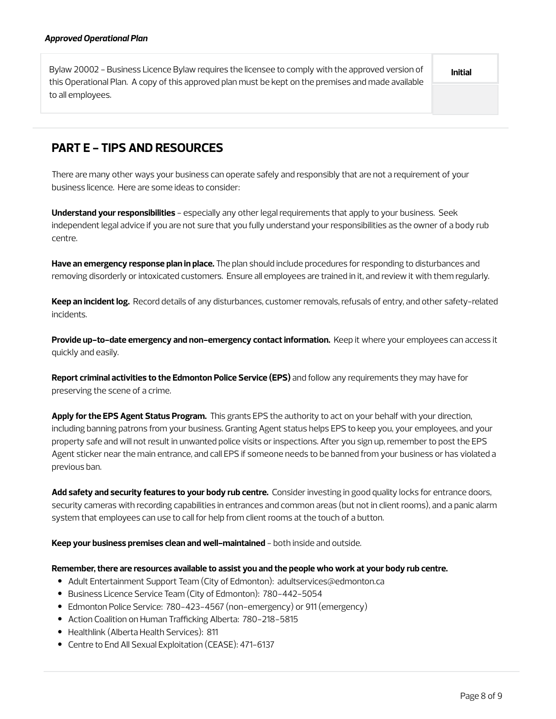Bylaw 20002 - Business Licence Bylaw requires the licensee to comply with the approved version of this Operational Plan. A copy of this approved plan must be kept on the premises and made available to all employees.

# **PART E - TIPS AND RESOURCES**

There are many other ways your business can operate safely and responsibly that are not a requirement of your business licence. Here are some ideas to consider:

**Understand your responsibilities** - especially any other legal requirements that apply to your business. Seek independent legal advice if you are not sure that you fully understand your responsibilities as the owner of a body rub centre.

**Have an emergency response plan in place.** The plan should include procedures for responding to disturbances and removing disorderly or intoxicated customers. Ensure all employees are trained in it, and review it with them regularly.

**Keep an incident log.** Record details of any disturbances, customer removals, refusals of entry, and other safety-related incidents.

**Provide up-to-date emergency and non-emergency contact information.** Keep it where your employees can access it quickly and easily.

**Report criminal activities to the Edmonton Police Service (EPS)** and follow any requirements they may have for preserving the scene of a crime.

**Apply for the EPS Agent Status Program.** This grants EPS the authority to act on your behalf with your direction, including banning patrons from your business. Granting Agent status helps EPS to keep you, your employees, and your property safe and will not result in unwanted police visits or inspections. After you sign up, remember to post the EPS Agent sticker near the main entrance, and call EPS if someone needs to be banned from your business or has violated a previous ban.

**Add safety and security features to your body rub centre.** Consider investing in good quality locks for entrance doors, security cameras with recording capabilities in entrances and common areas (but not in client rooms), and a panic alarm system that employees can use to call for help from client rooms at the touch of a button.

**Keep your business premises clean and well-maintained** - both inside and outside.

#### **Remember, there are resources available to assist you and the people who work at your body rub centre.**

- Adult Entertainment Support Team (City of Edmonton): adultservices@edmonton.ca
- Business Licence Service Team (City of Edmonton): 780-442-5054
- Edmonton Police Service: 780-423-4567 (non-emergency) or 911 (emergency)
- Action Coalition on Human Trafficking Alberta: 780-218-5815
- Healthlink (Alberta Health Services): 811
- Centre to End All Sexual Exploitation (CEASE): 471-6137